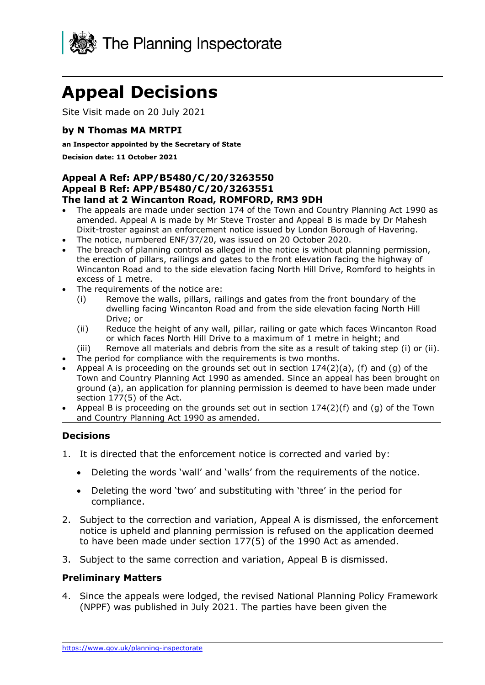

# **Appeal Decisions**

Site Visit made on 20 July 2021

#### **by N Thomas MA MRTPI**

#### **an Inspector appointed by the Secretary of State**

**Decision date: 11 October 2021** 

#### **Appeal A Ref: APP/B5480/C/20/3263550 The land at 2 Wincanton Road, ROMFORD, RM3 9DH Appeal B Ref: APP/B5480/C/20/3263551**

- • The appeals are made under section 174 of the Town and Country Planning Act 1990 as amended. Appeal A is made by Mr Steve Troster and Appeal B is made by Dr Mahesh Dixit-troster against an enforcement notice issued by London Borough of Havering.
- The notice, numbered ENF/37/20, was issued on 20 October 2020.
- the erection of pillars, railings and gates to the front elevation facing the highway of Wincanton Road and to the side elevation facing North Hill Drive, Romford to heights in • The breach of planning control as alleged in the notice is without planning permission, excess of 1 metre.
- The requirements of the notice are:
	- (i) Remove the walls, pillars, railings and gates from the front boundary of the dwelling facing Wincanton Road and from the side elevation facing North Hill Drive; or
	- (ii) Reduce the height of any wall, pillar, railing or gate which faces Wincanton Road or which faces North Hill Drive to a maximum of 1 metre in height; and
	- (iii) Remove all materials and debris from the site as a result of taking step (i) or (ii).
- The period for compliance with the requirements is two months.
- Appeal A is proceeding on the grounds set out in section  $174(2)(a)$ , (f) and (g) of the Town and Country Planning Act 1990 as amended. Since an appeal has been brought on ground (a), an application for planning permission is deemed to have been made under section 177(5) of the Act.
- Appeal B is proceeding on the grounds set out in section  $174(2)(f)$  and (q) of the Town and Country Planning Act 1990 as amended.

#### **Decisions**

- 1. It is directed that the enforcement notice is corrected and varied by:
	- Deleting the words 'wall' and 'walls' from the requirements of the notice.
	- • Deleting the word 'two' and substituting with 'three' in the period for compliance.
- notice is upheld and planning permission is refused on the application deemed to have been made under section 177(5) of the 1990 Act as amended. 2. Subject to the correction and variation, Appeal A is dismissed, the enforcement
- 3. Subject to the same correction and variation, Appeal B is dismissed.

#### **Preliminary Matters**

 4. Since the appeals were lodged, the revised National Planning Policy Framework (NPPF) was published in July 2021. The parties have been given the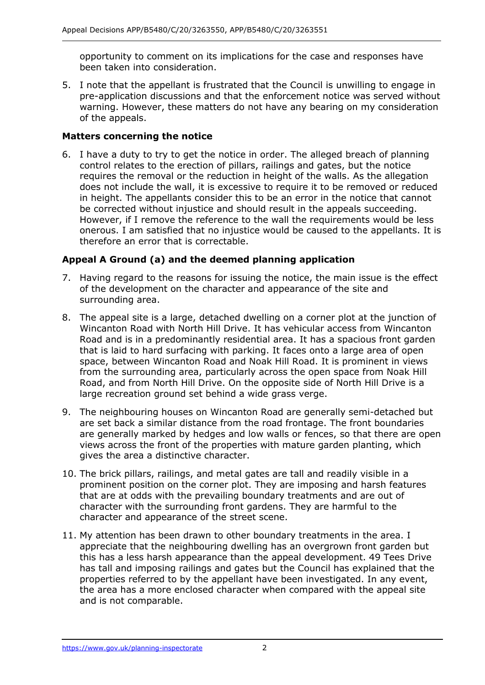opportunity to comment on its implications for the case and responses have been taken into consideration.

 5. I note that the appellant is frustrated that the Council is unwilling to engage in warning. However, these matters do not have any bearing on my consideration pre-application discussions and that the enforcement notice was served without of the appeals.

## **Matters concerning the notice**

 6. I have a duty to try to get the notice in order. The alleged breach of planning control relates to the erection of pillars, railings and gates, but the notice requires the removal or the reduction in height of the walls. As the allegation does not include the wall, it is excessive to require it to be removed or reduced be corrected without injustice and should result in the appeals succeeding. However, if I remove the reference to the wall the requirements would be less in height. The appellants consider this to be an error in the notice that cannot onerous. I am satisfied that no injustice would be caused to the appellants. It is therefore an error that is correctable.

## **Appeal A Ground (a) and the deemed planning application**

- of the development on the character and appearance of the site and 7. Having regard to the reasons for issuing the notice, the main issue is the effect surrounding area.
- 8. The appeal site is a large, detached dwelling on a corner plot at the junction of Wincanton Road with North Hill Drive. It has vehicular access from Wincanton Road and is in a predominantly residential area. It has a spacious front garden that is laid to hard surfacing with parking. It faces onto a large area of open space, between Wincanton Road and Noak Hill Road. It is prominent in views from the surrounding area, particularly across the open space from Noak Hill Road, and from North Hill Drive. On the opposite side of North Hill Drive is a large recreation ground set behind a wide grass verge.
- 9. The neighbouring houses on Wincanton Road are generally semi-detached but are set back a similar distance from the road frontage. The front boundaries are generally marked by hedges and low walls or fences, so that there are open views across the front of the properties with mature garden planting, which gives the area a distinctive character.
- 10. The brick pillars, railings, and metal gates are tall and readily visible in a prominent position on the corner plot. They are imposing and harsh features that are at odds with the prevailing boundary treatments and are out of character with the surrounding front gardens. They are harmful to the character and appearance of the street scene.
- appreciate that the neighbouring dwelling has an overgrown front garden but this has a less harsh appearance than the appeal development. 49 Tees Drive has tall and imposing railings and gates but the Council has explained that the properties referred to by the appellant have been investigated. In any event, and is not comparable. 11. My attention has been drawn to other boundary treatments in the area. I the area has a more enclosed character when compared with the appeal site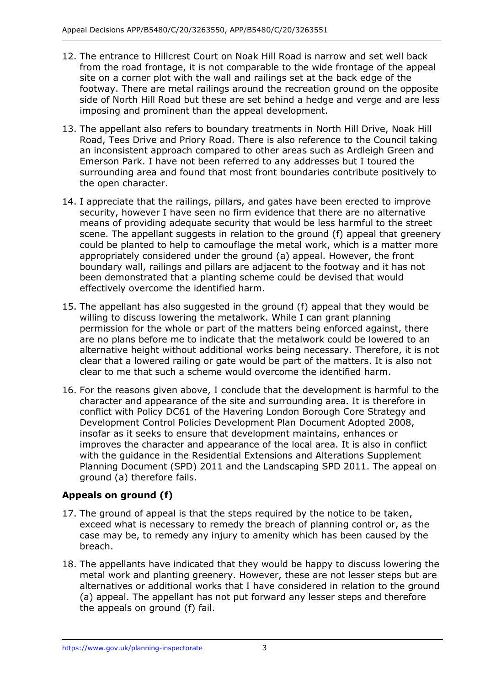- 12. The entrance to Hillcrest Court on Noak Hill Road is narrow and set well back from the road frontage, it is not comparable to the wide frontage of the appeal site on a corner plot with the wall and railings set at the back edge of the side of North Hill Road but these are set behind a hedge and verge and are less footway. There are metal railings around the recreation ground on the opposite imposing and prominent than the appeal development.
- 13. The appellant also refers to boundary treatments in North Hill Drive, Noak Hill Road, Tees Drive and Priory Road. There is also reference to the Council taking an inconsistent approach compared to other areas such as Ardleigh Green and surrounding area and found that most front boundaries contribute positively to Emerson Park. I have not been referred to any addresses but I toured the the open character.
- 14. I appreciate that the railings, pillars, and gates have been erected to improve could be planted to help to camouflage the metal work, which is a matter more appropriately considered under the ground (a) appeal. However, the front boundary wall, railings and pillars are adjacent to the footway and it has not been demonstrated that a planting scheme could be devised that would security, however I have seen no firm evidence that there are no alternative means of providing adequate security that would be less harmful to the street scene. The appellant suggests in relation to the ground (f) appeal that greenery effectively overcome the identified harm.
- 15. The appellant has also suggested in the ground (f) appeal that they would be willing to discuss lowering the metalwork. While I can grant planning clear that a lowered railing or gate would be part of the matters. It is also not clear to me that such a scheme would overcome the identified harm. permission for the whole or part of the matters being enforced against, there are no plans before me to indicate that the metalwork could be lowered to an alternative height without additional works being necessary. Therefore, it is not
- 16. For the reasons given above, I conclude that the development is harmful to the character and appearance of the site and surrounding area. It is therefore in conflict with Policy DC61 of the Havering London Borough Core Strategy and insofar as it seeks to ensure that development maintains, enhances or Planning Document (SPD) 2011 and the Landscaping SPD 2011. The appeal on Development Control Policies Development Plan Document Adopted 2008, improves the character and appearance of the local area. It is also in conflict with the guidance in the Residential Extensions and Alterations Supplement ground (a) therefore fails.

## **Appeals on ground (f)**

- case may be, to remedy any injury to amenity which has been caused by the 17. The ground of appeal is that the steps required by the notice to be taken, exceed what is necessary to remedy the breach of planning control or, as the breach.
- 18. The appellants have indicated that they would be happy to discuss lowering the metal work and planting greenery. However, these are not lesser steps but are (a) appeal. The appellant has not put forward any lesser steps and therefore alternatives or additional works that I have considered in relation to the ground the appeals on ground (f) fail.